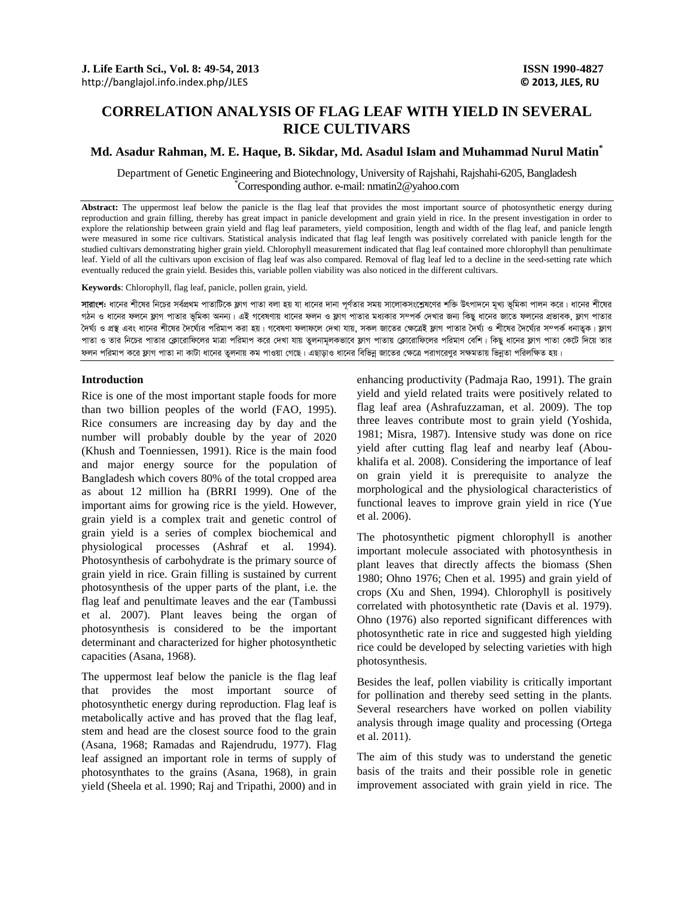# **CORRELATION ANALYSIS OF FLAG LEAF WITH YIELD IN SEVERAL RICE CULTIVARS**

# **Md. Asadur Rahman, M. E. Haque, B. Sikdar, Md. Asadul Islam and Muhammad Nurul Matin\***

Department of Genetic Engineering and Biotechnology, University of Rajshahi, Rajshahi-6205, Bangladesh \* Corresponding author. e-mail: nmatin2@yahoo.com

**Abstract:** The uppermost leaf below the panicle is the flag leaf that provides the most important source of photosynthetic energy during reproduction and grain filling, thereby has great impact in panicle development and grain yield in rice. In the present investigation in order to explore the relationship between grain yield and flag leaf parameters, yield composition, length and width of the flag leaf, and panicle length were measured in some rice cultivars. Statistical analysis indicated that flag leaf length was positively correlated with panicle length for the studied cultivars demonstrating higher grain yield. Chlorophyll measurement indicated that flag leaf contained more chlorophyll than penultimate leaf. Yield of all the cultivars upon excision of flag leaf was also compared. Removal of flag leaf led to a decline in the seed-setting rate which eventually reduced the grain yield. Besides this, variable pollen viability was also noticed in the different cultivars.

**Keywords**: Chlorophyll, flag leaf, panicle, pollen grain, yield.

**সারাংশ:** ধানের শীষের নিচের সর্বপ্রথম পাতাটিকে ফ্লাগ পাতা বলা হয় যা ধানের দানা পূর্ণতার সময় সালোকসংশ্লেষণের শক্তি উৎপাদনে মুখ্য ভূমিকা পালন করে। ধানের শীষের গঠন ও ধানের ফলনে ফ্লাগ পাতার ভূমিকা অনন্য। এই গবেষণায় ধানের ফলন ও ফ্লাগ পাতার মধ্যকার সম্পর্ক দেখার জন্য জিছু ধানের জাতে ফলনের প্রভাবক, ফ্লাগ পাতার দৈর্ঘ্য ও প্রস্থ বাং ধানের শীষের দৈর্ঘ্যের পরিমাপ করা হয়। গবেষণা ফলাফল দেখা যায়, সকল জাতের ক্ষেত্রই ফুগ শালুর সম্পর্ক ধনাতুক। ফ্লাগ পাতা ও তার নিচের পাতার ক্লোরোফিলের মাত্রা পরিমাপ করে দেখা যায় তুলনামূলকভাবে ফ্লাগ পাতায় ক্লোৱাফলের পরিমাণ বেশি। কিছু ধানের ফ্লাগ পাতা কেটে দিয়ে তার ফলন পরিমাপ করে ফ্লাগ পাতা না কাটা ধানের তুলনায় কম পাওয়া গেছে। এছাড়াও ধানের বিভিন্ন জাতের ক্ষেত্রে পরাগরেণুর সক্ষমতায় ভিন্নতা পরিলক্ষিত হয়।

## **Introduction**

Rice is one of the most important staple foods for more than two billion peoples of the world (FAO, 1995). Rice consumers are increasing day by day and the number will probably double by the year of 2020 (Khush and Toenniessen, 1991). Rice is the main food and major energy source for the population of Bangladesh which covers 80% of the total cropped area as about 12 million ha (BRRI 1999). One of the important aims for growing rice is the yield. However, grain yield is a complex trait and genetic control of grain yield is a series of complex biochemical and physiological processes (Ashraf et al. 1994). Photosynthesis of carbohydrate is the primary source of grain yield in rice. Grain filling is sustained by current photosynthesis of the upper parts of the plant, i.e. the flag leaf and penultimate leaves and the ear (Tambussi et al. 2007). Plant leaves being the organ of photosynthesis is considered to be the important determinant and characterized for higher photosynthetic capacities (Asana, 1968).

The uppermost leaf below the panicle is the flag leaf that provides the most important source of photosynthetic energy during reproduction. Flag leaf is metabolically active and has proved that the flag leaf, stem and head are the closest source food to the grain (Asana, 1968; Ramadas and Rajendrudu, 1977). Flag leaf assigned an important role in terms of supply of photosynthates to the grains (Asana, 1968), in grain yield (Sheela et al. 1990; Raj and Tripathi, 2000) and in enhancing productivity (Padmaja Rao, 1991). The grain yield and yield related traits were positively related to flag leaf area (Ashrafuzzaman, et al. 2009). The top three leaves contribute most to grain yield (Yoshida, 1981; Misra, 1987). Intensive study was done on rice yield after cutting flag leaf and nearby leaf (Aboukhalifa et al. 2008). Considering the importance of leaf on grain yield it is prerequisite to analyze the morphological and the physiological characteristics of functional leaves to improve grain yield in rice (Yue et al. 2006).

The photosynthetic pigment chlorophyll is another important molecule associated with photosynthesis in plant leaves that directly affects the biomass (Shen 1980; Ohno 1976; Chen et al. 1995) and grain yield of crops (Xu and Shen, 1994). Chlorophyll is positively correlated with photosynthetic rate (Davis et al. 1979). Ohno (1976) also reported significant differences with photosynthetic rate in rice and suggested high yielding rice could be developed by selecting varieties with high photosynthesis.

Besides the leaf, pollen viability is critically important for pollination and thereby seed setting in the plants. Several researchers have worked on pollen viability analysis through image quality and processing (Ortega et al. 2011).

The aim of this study was to understand the genetic basis of the traits and their possible role in genetic improvement associated with grain yield in rice. The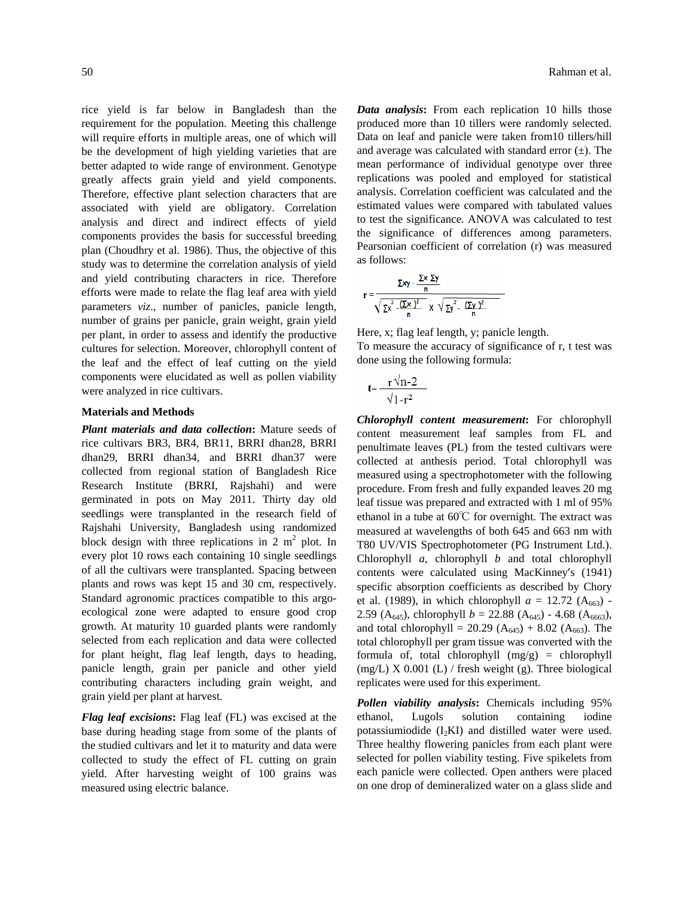rice yield is far below in Bangladesh than the requirement for the population. Meeting this challenge will require efforts in multiple areas, one of which will be the development of high yielding varieties that are better adapted to wide range of environment. Genotype greatly affects grain yield and yield components. Therefore, effective plant selection characters that are associated with yield are obligatory. Correlation analysis and direct and indirect effects of yield components provides the basis for successful breeding plan (Choudhry et al. 1986). Thus, the objective of this study was to determine the correlation analysis of yield and yield contributing characters in rice. Therefore efforts were made to relate the flag leaf area with yield parameters *viz.*, number of panicles, panicle length, number of grains per panicle, grain weight, grain yield per plant, in order to assess and identify the productive cultures for selection. Moreover, chlorophyll content of the leaf and the effect of leaf cutting on the yield components were elucidated as well as pollen viability were analyzed in rice cultivars.

#### **Materials and Methods**

*Plant materials and data collection***:** Mature seeds of rice cultivars BR3, BR4, BR11, BRRI dhan28, BRRI dhan29, BRRI dhan34, and BRRI dhan37 were collected from regional station of Bangladesh Rice Research Institute (BRRI, Rajshahi) and were germinated in pots on May 2011. Thirty day old seedlings were transplanted in the research field of Rajshahi University, Bangladesh using randomized block design with three replications in 2  $m<sup>2</sup>$  plot. In every plot 10 rows each containing 10 single seedlings of all the cultivars were transplanted. Spacing between plants and rows was kept 15 and 30 cm, respectively. Standard agronomic practices compatible to this argoecological zone were adapted to ensure good crop growth. At maturity 10 guarded plants were randomly selected from each replication and data were collected for plant height, flag leaf length, days to heading, panicle length, grain per panicle and other yield contributing characters including grain weight, and grain yield per plant at harvest.

*Flag leaf excisions***:** Flag leaf (FL) was excised at the base during heading stage from some of the plants of the studied cultivars and let it to maturity and data were collected to study the effect of FL cutting on grain yield. After harvesting weight of 100 grains was measured using electric balance.

*Data analysis***:** From each replication 10 hills those produced more than 10 tillers were randomly selected. Data on leaf and panicle were taken from10 tillers/hill and average was calculated with standard error  $(\pm)$ . The mean performance of individual genotype over three replications was pooled and employed for statistical analysis. Correlation coefficient was calculated and the estimated values were compared with tabulated values to test the significance. ANOVA was calculated to test the significance of differences among parameters. Pearsonian coefficient of correlation (r) was measured as follows:

$$
r = \frac{\sum xy - \frac{\sum x \sum y}{n}}{\sqrt{\sum x^2 - (\frac{\sum x}{n})^2} x \sqrt{\sum y^2 - (\frac{\sum y}{n})^2}}
$$

Here, x; flag leaf length, y; panicle length.

To measure the accuracy of significance of r, t test was done using the following formula:

$$
t = \frac{r \sqrt{n-2}}{\sqrt{1-r^2}}
$$

*Chlorophyll content measurement***:** For chlorophyll content measurement leaf samples from FL and penultimate leaves (PL) from the tested cultivars were collected at anthesis period. Total chlorophyll was measured using a spectrophotometer with the following procedure. From fresh and fully expanded leaves 20 mg leaf tissue was prepared and extracted with 1 ml of 95% ethanol in a tube at 60℃ for overnight. The extract was measured at wavelengths of both 645 and 663 nm with T80 UV/VIS Spectrophotometer (PG Instrument Ltd.). Chlorophyll *a*, chlorophyll *b* and total chlorophyll contents were calculated using MacKinney's (1941) specific absorption coefficients as described by Chory et al. (1989), in which chlorophyll  $a = 12.72$  (A<sub>663</sub>) -2.59 (A<sub>645</sub>), chlorophyll  $b = 22.88$  (A<sub>645</sub>) - 4.68 (A<sub>6663</sub>), and total chlorophyll = 20.29  $(A_{645}) + 8.02 (A_{663})$ . The total chlorophyll per gram tissue was converted with the formula of, total chlorophyll (mg/g) = chlorophyll (mg/L) X 0.001 (L) / fresh weight (g). Three biological replicates were used for this experiment.

*Pollen viability analysis***:** Chemicals including 95% ethanol, Lugols solution containing iodine potassiumiodide  $(I_2KI)$  and distilled water were used. Three healthy flowering panicles from each plant were selected for pollen viability testing. Five spikelets from each panicle were collected. Open anthers were placed on one drop of demineralized water on a glass slide and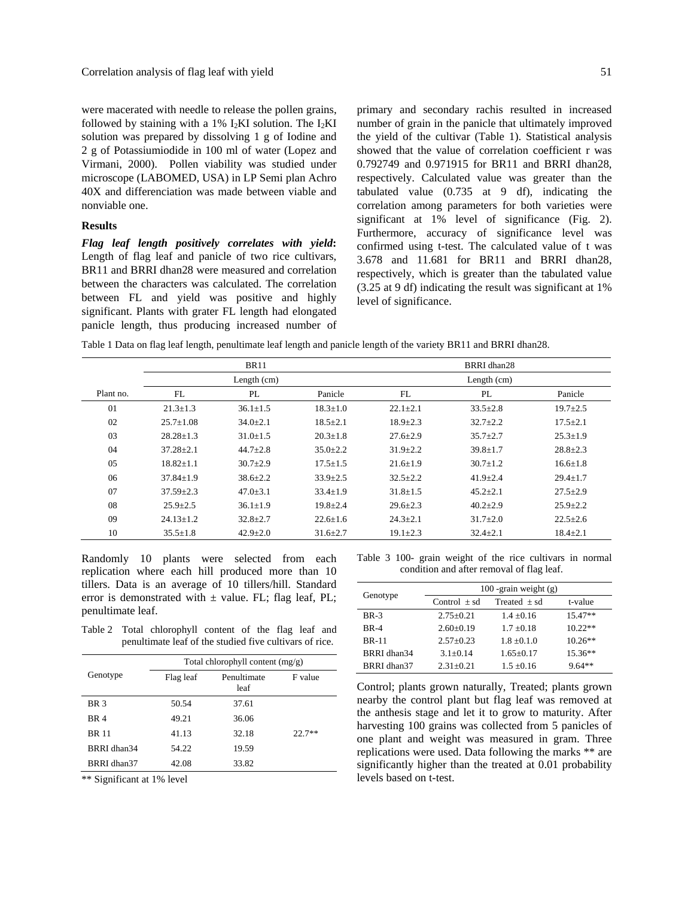were macerated with needle to release the pollen grains, followed by staining with a  $1\%$  I<sub>2</sub>KI solution. The I<sub>2</sub>KI solution was prepared by dissolving 1 g of Iodine and 2 g of Potassiumiodide in 100 ml of water (Lopez and Virmani, 2000). Pollen viability was studied under microscope (LABOMED, USA) in LP Semi plan Achro 40X and differenciation was made between viable and nonviable one.

# **Results**

*Flag leaf length positively correlates with yield***:** Length of flag leaf and panicle of two rice cultivars, BR11 and BRRI dhan28 were measured and correlation between the characters was calculated. The correlation between FL and yield was positive and highly significant. Plants with grater FL length had elongated panicle length, thus producing increased number of primary and secondary rachis resulted in increased number of grain in the panicle that ultimately improved the yield of the cultivar (Table 1). Statistical analysis showed that the value of correlation coefficient r was 0.792749 and 0.971915 for BR11 and BRRI dhan28, respectively. Calculated value was greater than the tabulated value (0.735 at 9 df), indicating the correlation among parameters for both varieties were significant at 1% level of significance (Fig. 2). Furthermore, accuracy of significance level was confirmed using t-test. The calculated value of t was 3.678 and 11.681 for BR11 and BRRI dhan28, respectively, which is greater than the tabulated value (3.25 at 9 df) indicating the result was significant at 1% level of significance.

Table 1 Data on flag leaf length, penultimate leaf length and panicle length of the variety BR11 and BRRI dhan28.

|           | <b>BR11</b>     |                |                | BRRI dhan28    |                |                |
|-----------|-----------------|----------------|----------------|----------------|----------------|----------------|
|           | Length $(cm)$   |                |                | Length $(cm)$  |                |                |
| Plant no. | FL              | PL             | Panicle        | FL             | PL             | Panicle        |
| 01        | $21.3 \pm 1.3$  | $36.1 \pm 1.5$ | $18.3 \pm 1.0$ | $22.1 \pm 2.1$ | $33.5 \pm 2.8$ | $19.7 + 2.5$   |
| 02        | $25.7 + 1.08$   | $34.0 \pm 2.1$ | $18.5 \pm 2.1$ | $18.9 \pm 2.3$ | $32.7 + 2.2$   | $17.5 + 2.1$   |
| 03        | $28.28 \pm 1.3$ | $31.0 \pm 1.5$ | $20.3 \pm 1.8$ | $27.6 \pm 2.9$ | $35.7 + 2.7$   | $25.3 \pm 1.9$ |
| 04        | $37.28 \pm 2.1$ | $44.7 \pm 2.8$ | $35.0 + 2.2$   | $31.9 \pm 2.2$ | $39.8 \pm 1.7$ | $28.8 + 2.3$   |
| 05        | $18.82 \pm 1.1$ | $30.7 \pm 2.9$ | $17.5 \pm 1.5$ | $21.6 \pm 1.9$ | $30.7 + 1.2$   | $16.6 + 1.8$   |
| 06        | $37.84 \pm 1.9$ | $38.6 \pm 2.2$ | $33.9 + 2.5$   | $32.5 \pm 2.2$ | $41.9 + 2.4$   | $29.4 + 1.7$   |
| 07        | $37.59 \pm 2.3$ | $47.0 \pm 3.1$ | $33.4 \pm 1.9$ | $31.8 \pm 1.5$ | $45.2 + 2.1$   | $27.5 \pm 2.9$ |
| 08        | $25.9 \pm 2.5$  | $36.1 \pm 1.9$ | $19.8 \pm 2.4$ | $29.6 \pm 2.3$ | $40.2 + 2.9$   | $25.9 + 2.2$   |
| 09        | $24.13 + 1.2$   | $32.8 \pm 2.7$ | $22.6 + 1.6$   | $24.3 \pm 2.1$ | $31.7 + 2.0$   | $22.5 + 2.6$   |
| 10        | $35.5 \pm 1.8$  | $42.9 \pm 2.0$ | $31.6 \pm 2.7$ | $19.1 \pm 2.3$ | $32.4 \pm 2.1$ | $18.4 \pm 2.1$ |

Randomly 10 plants were selected from each replication where each hill produced more than 10 tillers. Data is an average of 10 tillers/hill. Standard error is demonstrated with  $\pm$  value. FL; flag leaf, PL; penultimate leaf.

Table 2 Total chlorophyll content of the flag leaf and penultimate leaf of the studied five cultivars of rice.

|             | Total chlorophyll content $(mg/g)$ |                     |          |  |  |  |
|-------------|------------------------------------|---------------------|----------|--|--|--|
| Genotype    | Flag leaf                          | Penultimate<br>leaf | F value  |  |  |  |
| <b>BR3</b>  | 50.54                              | 37.61               |          |  |  |  |
| <b>BR4</b>  | 49.21                              | 36.06               |          |  |  |  |
| <b>BR11</b> | 41.13                              | 32.18               | $22.7**$ |  |  |  |
| BRRI dhan34 | 54.22                              | 19.59               |          |  |  |  |
| BRRI dhan37 | 42.08                              | 33.82               |          |  |  |  |

\*\* Significant at 1% level

Table 3 100- grain weight of the rice cultivars in normal condition and after removal of flag leaf.

| Genotype     |                  | $100$ -grain weight $(g)$ |           |
|--------------|------------------|---------------------------|-----------|
|              | Control $\pm$ sd | $Treated + sd$            | t-value   |
| $BR-3$       | $2.75+0.21$      | $1.4 + 0.16$              | $15.47**$ |
| $BR-4$       | $2.60+0.19$      | $1.7 + 0.18$              | $10.22**$ |
| <b>BR-11</b> | $2.57+0.23$      | $1.8 + 0.1.0$             | $10.26**$ |
| BRRI dhan34  | $3.1 + 0.14$     | $1.65+0.17$               | 15.36**   |
| BRRI dhan37  | $2.31 \pm 0.21$  | $1.5 + 0.16$              | $9.64**$  |

Control; plants grown naturally, Treated; plants grown nearby the control plant but flag leaf was removed at the anthesis stage and let it to grow to maturity. After harvesting 100 grains was collected from 5 panicles of one plant and weight was measured in gram. Three replications were used. Data following the marks \*\* are significantly higher than the treated at 0.01 probability levels based on t-test.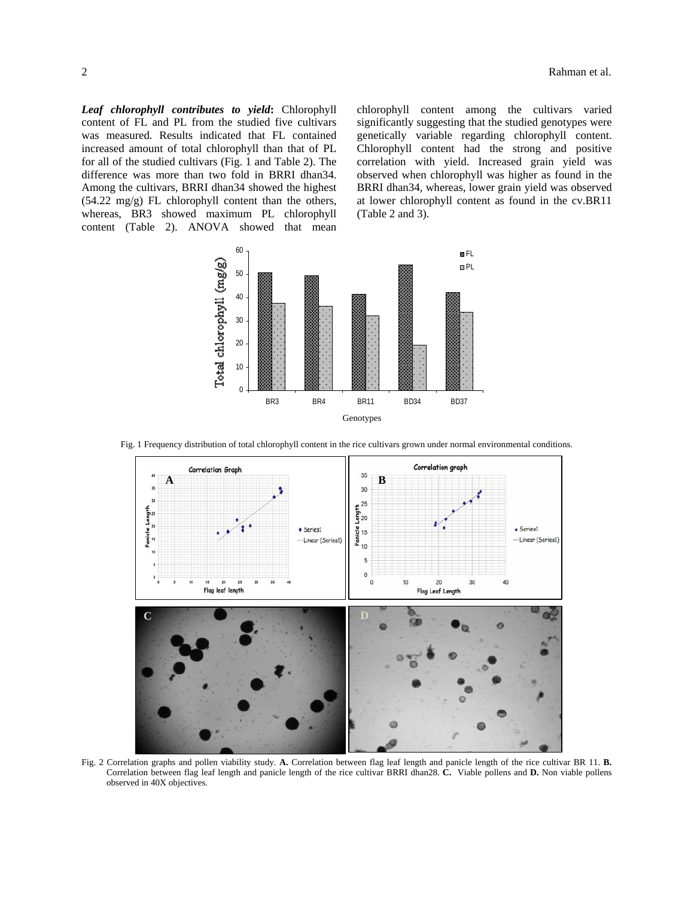*Leaf chlorophyll contributes to yield***:** Chlorophyll content of FL and PL from the studied five cultivars was measured. Results indicated that FL contained increased amount of total chlorophyll than that of PL for all of the studied cultivars (Fig. 1 and Table 2). The difference was more than two fold in BRRI dhan34. Among the cultivars, BRRI dhan34 showed the highest  $(54.22 \text{ mg/g})$  FL chlorophyll content than the others, whereas, BR3 showed maximum PL chlorophyll content (Table 2). ANOVA showed that mean chlorophyll content among the cultivars varied significantly suggesting that the studied genotypes were genetically variable regarding chlorophyll content. Chlorophyll content had the strong and positive correlation with yield. Increased grain yield was observed when chlorophyll was higher as found in the BRRI dhan34, whereas, lower grain yield was observed at lower chlorophyll content as found in the cv.BR11 (Table 2 and 3).







Fig. 2 Correlation graphs and pollen viability study. **A.** Correlation between flag leaf length and panicle length of the rice cultivar BR 11. **B.**  Correlation between flag leaf length and panicle length of the rice cultivar BRRI dhan28. **C.** Viable pollens and **D.** Non viable pollens observed in 40X objectives.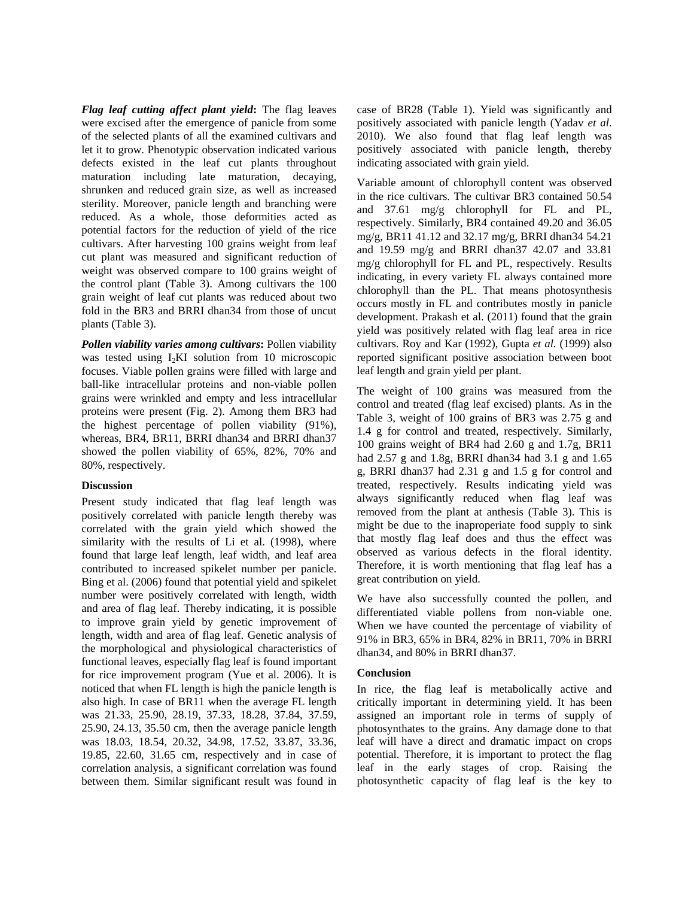*Flag leaf cutting affect plant yield***:** The flag leaves were excised after the emergence of panicle from some of the selected plants of all the examined cultivars and let it to grow. Phenotypic observation indicated various defects existed in the leaf cut plants throughout maturation including late maturation, decaying, shrunken and reduced grain size, as well as increased sterility. Moreover, panicle length and branching were reduced. As a whole, those deformities acted as potential factors for the reduction of yield of the rice cultivars. After harvesting 100 grains weight from leaf cut plant was measured and significant reduction of weight was observed compare to 100 grains weight of the control plant (Table 3). Among cultivars the 100 grain weight of leaf cut plants was reduced about two fold in the BR3 and BRRI dhan34 from those of uncut plants (Table 3).

*Pollen viability varies among cultivars***:** Pollen viability was tested using  $I_2KI$  solution from 10 microscopic focuses. Viable pollen grains were filled with large and ball-like intracellular proteins and non-viable pollen grains were wrinkled and empty and less intracellular proteins were present (Fig. 2). Among them BR3 had the highest percentage of pollen viability (91%), whereas, BR4, BR11, BRRI dhan34 and BRRI dhan37 showed the pollen viability of 65%, 82%, 70% and 80%, respectively.

# **Discussion**

Present study indicated that flag leaf length was positively correlated with panicle length thereby was correlated with the grain yield which showed the similarity with the results of Li et al. (1998), where found that large leaf length, leaf width, and leaf area contributed to increased spikelet number per panicle. Bing et al. (2006) found that potential yield and spikelet number were positively correlated with length, width and area of flag leaf. Thereby indicating, it is possible to improve grain yield by genetic improvement of length, width and area of flag leaf. Genetic analysis of the morphological and physiological characteristics of functional leaves, especially flag leaf is found important for rice improvement program (Yue et al. 2006). It is noticed that when FL length is high the panicle length is also high. In case of BR11 when the average FL length was 21.33, 25.90, 28.19, 37.33, 18.28, 37.84, 37.59, 25.90, 24.13, 35.50 cm, then the average panicle length was 18.03, 18.54, 20.32, 34.98, 17.52, 33.87, 33.36, 19.85, 22.60, 31.65 cm, respectively and in case of correlation analysis, a significant correlation was found between them. Similar significant result was found in

case of BR28 (Table 1). Yield was significantly and positively associated with panicle length (Yadav *et al*. 2010). We also found that flag leaf length was positively associated with panicle length, thereby indicating associated with grain yield.

Variable amount of chlorophyll content was observed in the rice cultivars. The cultivar BR3 contained 50.54 and 37.61 mg/g chlorophyll for FL and PL, respectively. Similarly, BR4 contained 49.20 and 36.05 mg/g, BR11 41.12 and 32.17 mg/g, BRRI dhan34 54.21 and 19.59 mg/g and BRRI dhan37 42.07 and 33.81 mg/g chlorophyll for FL and PL, respectively. Results indicating, in every variety FL always contained more chlorophyll than the PL. That means photosynthesis occurs mostly in FL and contributes mostly in panicle development. Prakash et al. (2011) found that the grain yield was positively related with flag leaf area in rice cultivars. Roy and Kar (1992), Gupta *et al.* (1999) also reported significant positive association between boot leaf length and grain yield per plant.

The weight of 100 grains was measured from the control and treated (flag leaf excised) plants. As in the Table 3, weight of 100 grains of BR3 was 2.75 g and 1.4 g for control and treated, respectively. Similarly, 100 grains weight of BR4 had 2.60 g and 1.7g, BR11 had 2.57 g and 1.8g, BRRI dhan34 had 3.1 g and 1.65 g, BRRI dhan37 had 2.31 g and 1.5 g for control and treated, respectively. Results indicating yield was always significantly reduced when flag leaf was removed from the plant at anthesis (Table 3). This is might be due to the inaproperiate food supply to sink that mostly flag leaf does and thus the effect was observed as various defects in the floral identity. Therefore, it is worth mentioning that flag leaf has a great contribution on yield.

We have also successfully counted the pollen, and differentiated viable pollens from non-viable one. When we have counted the percentage of viability of 91% in BR3, 65% in BR4, 82% in BR11, 70% in BRRI dhan34, and 80% in BRRI dhan37.

## **Conclusion**

In rice, the flag leaf is metabolically active and critically important in determining yield. It has been assigned an important role in terms of supply of photosynthates to the grains. Any damage done to that leaf will have a direct and dramatic impact on crops potential. Therefore, it is important to protect the flag leaf in the early stages of crop. Raising the photosynthetic capacity of flag leaf is the key to